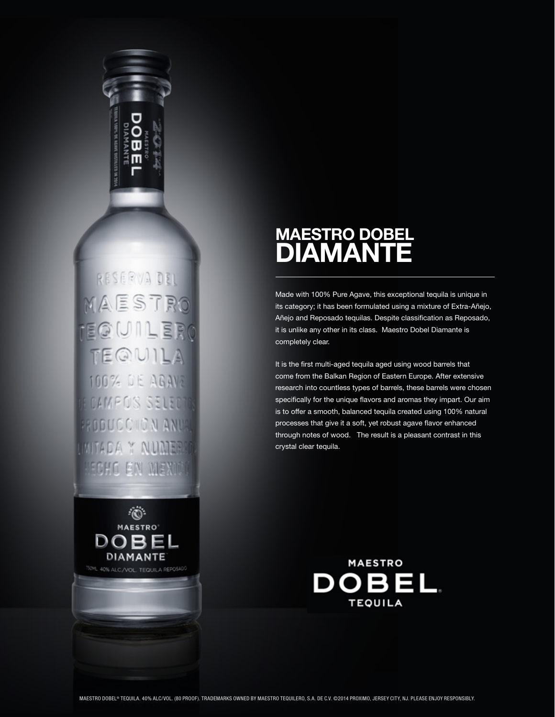

RESERVA DEL MAESTRO TEQUILERO TEQUILA 100% DE AGAVE **FOAMPO'S SELECTI** PRODUCCIION ANUA MITADA Y NUMERA HECHO EN MEXIO



# MAESTRO DOBEL DIAMANTE

Made with 100% Pure Agave, this exceptional tequila is unique in its category; it has been formulated using a mixture of Extra-Añejo, Añejo and Reposado tequilas. Despite classification as Reposado, it is unlike any other in its class. Maestro Dobel Diamante is completely clear.

It is the first multi-aged tequila aged using wood barrels that come from the Balkan Region of Eastern Europe. After extensive research into countless types of barrels, these barrels were chosen specifically for the unique flavors and aromas they impart. Our aim is to offer a smooth, balanced tequila created using 100% natural processes that give it a soft, yet robust agave flavor enhanced through notes of wood. The result is a pleasant contrast in this crystal clear tequila.